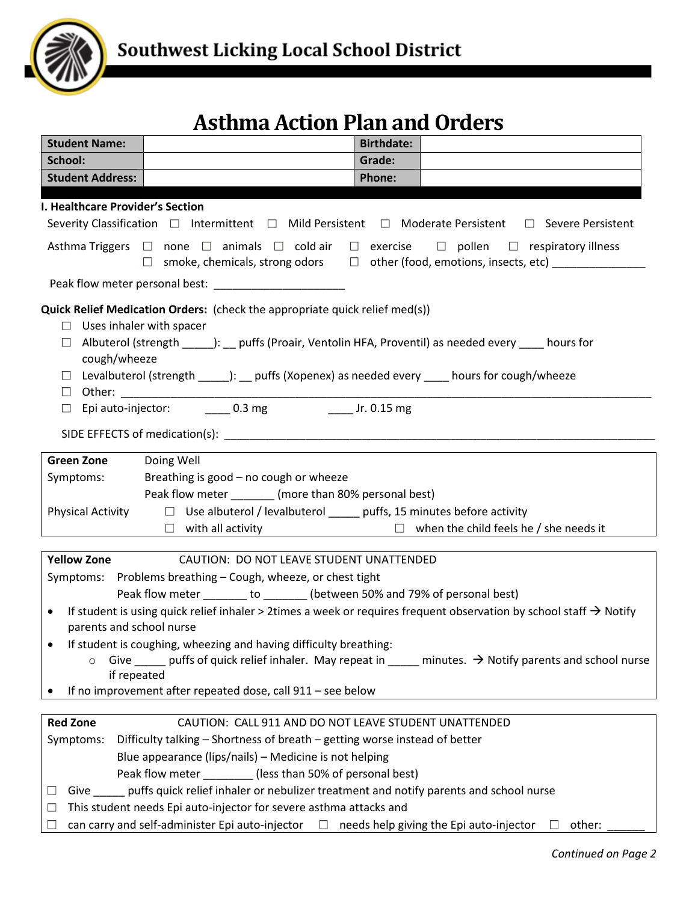

## **Asthma Action Plan and Orders**

| <b>Student Name:</b>                                                                                                                                                                                                          |                                                                                                                      | <b>Birthdate:</b>                                                                              |  |  |  |  |
|-------------------------------------------------------------------------------------------------------------------------------------------------------------------------------------------------------------------------------|----------------------------------------------------------------------------------------------------------------------|------------------------------------------------------------------------------------------------|--|--|--|--|
| School:                                                                                                                                                                                                                       |                                                                                                                      | Grade:                                                                                         |  |  |  |  |
| <b>Student Address:</b>                                                                                                                                                                                                       |                                                                                                                      | <b>Phone:</b>                                                                                  |  |  |  |  |
| I. Healthcare Provider's Section                                                                                                                                                                                              |                                                                                                                      |                                                                                                |  |  |  |  |
| Severity Classification $\Box$ Intermittent $\Box$ Mild Persistent $\Box$ Moderate Persistent $\Box$ Severe Persistent                                                                                                        |                                                                                                                      |                                                                                                |  |  |  |  |
| Asthma Triggers $\Box$ none $\Box$ animals $\Box$ cold air $\Box$ exercise $\Box$ pollen $\Box$ respiratory illness                                                                                                           |                                                                                                                      |                                                                                                |  |  |  |  |
|                                                                                                                                                                                                                               |                                                                                                                      | $\Box$ smoke, chemicals, strong odors $\Box$ other (food, emotions, insects, etc) ____________ |  |  |  |  |
|                                                                                                                                                                                                                               |                                                                                                                      |                                                                                                |  |  |  |  |
| Quick Relief Medication Orders: (check the appropriate quick relief med(s))<br>$\Box$ Uses inhaler with spacer<br>Albuterol (strength ______): __ puffs (Proair, Ventolin HFA, Proventil) as needed every ____ hours for<br>ш |                                                                                                                      |                                                                                                |  |  |  |  |
| cough/wheeze                                                                                                                                                                                                                  | □ Levalbuterol (strength ______): __ puffs (Xopenex) as needed every _____ hours for cough/wheeze                    |                                                                                                |  |  |  |  |
| $\Box$                                                                                                                                                                                                                        | Epi auto-injector: __________ 0.3 mg ________________ Jr. 0.15 mg                                                    |                                                                                                |  |  |  |  |
|                                                                                                                                                                                                                               |                                                                                                                      |                                                                                                |  |  |  |  |
| <b>Green Zone</b>                                                                                                                                                                                                             | Doing Well                                                                                                           |                                                                                                |  |  |  |  |
| Symptoms:                                                                                                                                                                                                                     | Breathing is good - no cough or wheeze                                                                               |                                                                                                |  |  |  |  |
|                                                                                                                                                                                                                               | Peak flow meter ________ (more than 80% personal best)                                                               |                                                                                                |  |  |  |  |
| <b>Physical Activity</b>                                                                                                                                                                                                      | $\Box$ Use albuterol / levalbuterol ______ puffs, 15 minutes before activity                                         |                                                                                                |  |  |  |  |
|                                                                                                                                                                                                                               |                                                                                                                      | $\Box$ with all activity $\Box$ when the child feels he / she needs it                         |  |  |  |  |
|                                                                                                                                                                                                                               |                                                                                                                      |                                                                                                |  |  |  |  |
| <b>Yellow Zone</b>                                                                                                                                                                                                            | CAUTION: DO NOT LEAVE STUDENT UNATTENDED                                                                             |                                                                                                |  |  |  |  |
|                                                                                                                                                                                                                               | Symptoms: Problems breathing - Cough, wheeze, or chest tight                                                         |                                                                                                |  |  |  |  |
|                                                                                                                                                                                                                               | Peak flow meter _______ to ______ (between 50% and 79% of personal best)                                             |                                                                                                |  |  |  |  |
| If student is using quick relief inhaler > 2times a week or requires frequent observation by school staff $\rightarrow$ Notify<br>$\bullet$<br>parents and school nurse                                                       |                                                                                                                      |                                                                                                |  |  |  |  |
| If student is coughing, wheezing and having difficulty breathing:                                                                                                                                                             |                                                                                                                      |                                                                                                |  |  |  |  |
| Give $\_\_\_\_$ puffs of quick relief inhaler. May repeat in $\_\_\_\_$ minutes. $\rightarrow$ Notify parents and school nurse<br>$\circ$<br>if repeated                                                                      |                                                                                                                      |                                                                                                |  |  |  |  |
|                                                                                                                                                                                                                               | If no improvement after repeated dose, call 911 - see below                                                          |                                                                                                |  |  |  |  |
|                                                                                                                                                                                                                               |                                                                                                                      |                                                                                                |  |  |  |  |
| <b>Red Zone</b><br>CAUTION: CALL 911 AND DO NOT LEAVE STUDENT UNATTENDED                                                                                                                                                      |                                                                                                                      |                                                                                                |  |  |  |  |
| Difficulty talking - Shortness of breath - getting worse instead of better<br>Symptoms:                                                                                                                                       |                                                                                                                      |                                                                                                |  |  |  |  |
| Blue appearance (lips/nails) - Medicine is not helping                                                                                                                                                                        |                                                                                                                      |                                                                                                |  |  |  |  |
| Peak flow meter _________(less than 50% of personal best)                                                                                                                                                                     |                                                                                                                      |                                                                                                |  |  |  |  |
| Give ______ puffs quick relief inhaler or nebulizer treatment and notify parents and school nurse<br>⊔<br>This student needs Epi auto-injector for severe asthma attacks and                                                  |                                                                                                                      |                                                                                                |  |  |  |  |
| ⊔                                                                                                                                                                                                                             | can carry and self-administer Epi auto-injector $\Box$ needs help giving the Epi auto-injector<br>$\Box$ other:<br>⊔ |                                                                                                |  |  |  |  |
|                                                                                                                                                                                                                               |                                                                                                                      |                                                                                                |  |  |  |  |